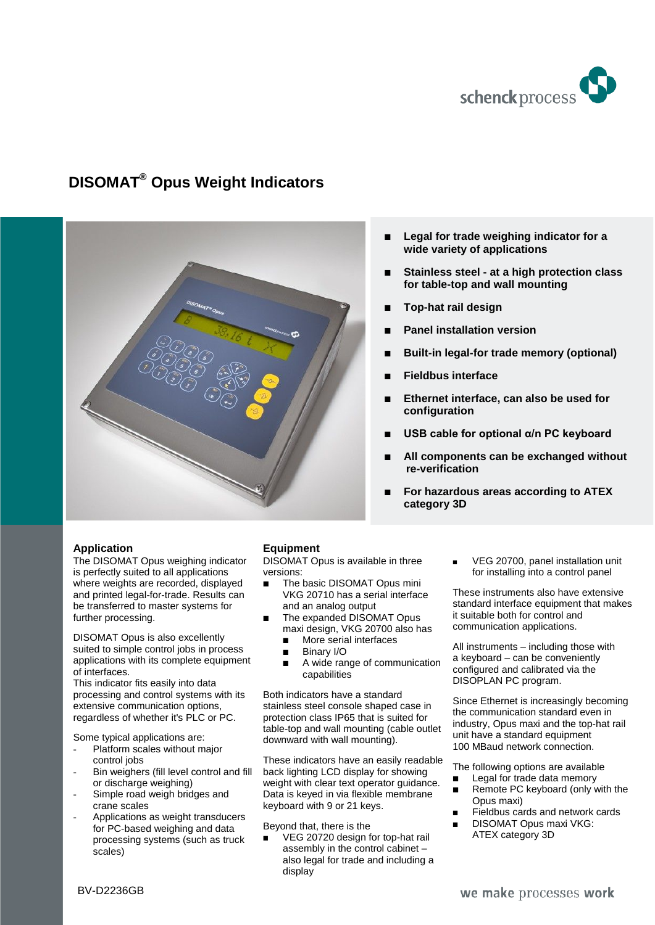

# **DISOMAT® Opus Weight Indicators**



- **Legal for trade weighing indicator for a wide variety of applications**
- **Stainless steel - at a high protection class for table-top and wall mounting**
- **Top-hat rail design**
- **Panel installation version**
- **Built-in legal-for trade memory (optional)**
- **Fieldbus interface**
- **Ethernet interface, can also be used for configuration**
- **USB cable for optional α/n PC keyboard**
- **All components can be exchanged without re-verification**
- **For hazardous areas according to ATEX category 3D**

## **Application**

The DISOMAT Opus weighing indicator is perfectly suited to all applications where weights are recorded, displayed and printed legal-for-trade. Results can be transferred to master systems for further processing.

DISOMAT Opus is also excellently suited to simple control jobs in process applications with its complete equipment of interfaces.

This indicator fits easily into data processing and control systems with its extensive communication options, regardless of whether it's PLC or PC.

Some typical applications are:

- Platform scales without major control jobs
- Bin weighers (fill level control and fill or discharge weighing)
- Simple road weigh bridges and crane scales
- Applications as weight transducers for PC-based weighing and data processing systems (such as truck scales)

## **Equipment**

DISOMAT Opus is available in three versions:

- The basic DISOMAT Opus mini VKG 20710 has a serial interface and an analog output
- The expanded DISOMAT Opus maxi design, VKG 20700 also has
	- **More serial interfaces**
	- **Binary I/O**
	- A wide range of communication capabilities

Both indicators have a standard stainless steel console shaped case in protection class IP65 that is suited for table-top and wall mounting (cable outlet downward with wall mounting).

These indicators have an easily readable back lighting LCD display for showing weight with clear text operator guidance. Data is keyed in via flexible membrane keyboard with 9 or 21 keys.

Beyond that, there is the

 VEG 20720 design for top-hat rail assembly in the control cabinet – also legal for trade and including a display

 VEG 20700, panel installation unit for installing into a control panel

These instruments also have extensive standard interface equipment that makes it suitable both for control and communication applications.

All instruments – including those with a keyboard – can be conveniently configured and calibrated via the DISOPLAN PC program.

Since Ethernet is increasingly becoming the communication standard even in industry, Opus maxi and the top-hat rail unit have a standard equipment 100 MBaud network connection.

The following options are available

- Legal for trade data memory
- Remote PC keyboard (only with the Opus maxi)
- Fieldbus cards and network cards
- DISOMAT Opus maxi VKG: ATEX category 3D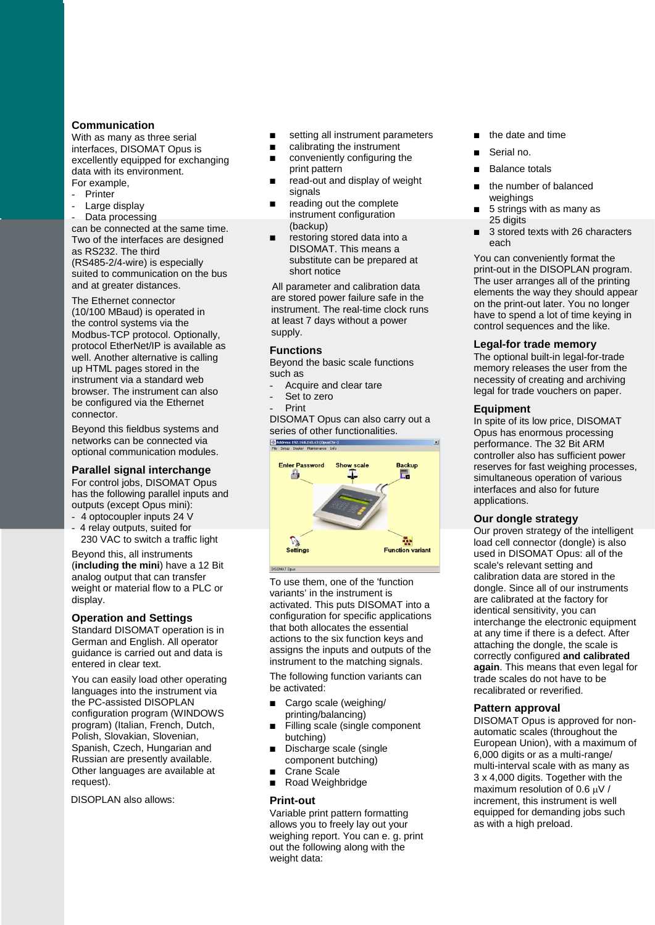#### **Communication**

With as many as three serial interfaces, DISOMAT Opus is excellently equipped for exchanging data with its environment. For example,

- **Printer**
- Large display
- Data processing

can be connected at the same time. Two of the interfaces are designed as RS232. The third (RS485-2/4-wire) is especially suited to communication on the bus and at greater distances.

The Ethernet connector (10/100 MBaud) is operated in the control systems via the Modbus-TCP protocol. Optionally, protocol EtherNet/IP is available as well. Another alternative is calling up HTML pages stored in the instrument via a standard web browser. The instrument can also be configured via the Ethernet connector.

Beyond this fieldbus systems and networks can be connected via optional communication modules.

#### **Parallel signal interchange**

For control jobs, DISOMAT Opus has the following parallel inputs and outputs (except Opus mini):

- 4 optocoupler inputs 24 V
- 4 relay outputs, suited for 230 VAC to switch a traffic light

Beyond this, all instruments (**including the mini**) have a 12 Bit analog output that can transfer weight or material flow to a PLC or display.

#### **Operation and Settings**

Standard DISOMAT operation is in German and English. All operator guidance is carried out and data is entered in clear text.

You can easily load other operating languages into the instrument via the PC-assisted DISOPLAN configuration program (WINDOWS program) (Italian, French, Dutch, Polish, Slovakian, Slovenian, Spanish, Czech, Hungarian and Russian are presently available. Other languages are available at request).

DISOPLAN also allows:

- setting all instrument parameters
- calibrating the instrument
- conveniently configuring the print pattern
- read-out and display of weight signals
- reading out the complete instrument configuration (backup)
- restoring stored data into a DISOMAT. This means a substitute can be prepared at short notice

All parameter and calibration data are stored power failure safe in the instrument. The real-time clock runs at least 7 days without a power supply.

#### **Functions**

Beyond the basic scale functions such as

- Acquire and clear tare
- Set to zero
- Print

DISOMAT Opus can also carry out a Series of other functionalities.



To use them, one of the 'function variants' in the instrument is activated. This puts DISOMAT into a configuration for specific applications that both allocates the essential actions to the six function keys and assigns the inputs and outputs of the instrument to the matching signals.

The following function variants can be activated:

- Cargo scale (weighing/ printing/balancing)
- Filling scale (single component butching)
- Discharge scale (single component butching)
- Crane Scale
- Road Weighbridge

#### **Print-out**

Variable print pattern formatting allows you to freely lay out your weighing report. You can e. g. print out the following along with the weight data:

- the date and time
- Serial no.
- Balance totals
- the number of balanced weighings
- 5 strings with as many as 25 digits
- 3 stored texts with 26 characters each

You can conveniently format the print-out in the DISOPLAN program. The user arranges all of the printing elements the way they should appear on the print-out later. You no longer have to spend a lot of time keying in control sequences and the like.

#### **Legal-for trade memory**

The optional built-in legal-for-trade memory releases the user from the necessity of creating and archiving legal for trade vouchers on paper.

#### **Equipment**

In spite of its low price, DISOMAT Opus has enormous processing performance. The 32 Bit ARM controller also has sufficient power reserves for fast weighing processes, simultaneous operation of various interfaces and also for future applications.

#### **Our dongle strategy**

Our proven strategy of the intelligent load cell connector (dongle) is also used in DISOMAT Opus: all of the scale's relevant setting and calibration data are stored in the dongle. Since all of our instruments are calibrated at the factory for identical sensitivity, you can interchange the electronic equipment at any time if there is a defect. After attaching the dongle, the scale is correctly configured **and calibrated again**. This means that even legal for trade scales do not have to be recalibrated or reverified.

#### **Pattern approval**

DISOMAT Opus is approved for nonautomatic scales (throughout the European Union), with a maximum of 6,000 digits or as a multi-range/ multi-interval scale with as many as 3 x 4,000 digits. Together with the maximum resolution of 0.6  $\mu$ V / increment, this instrument is well equipped for demanding jobs such as with a high preload.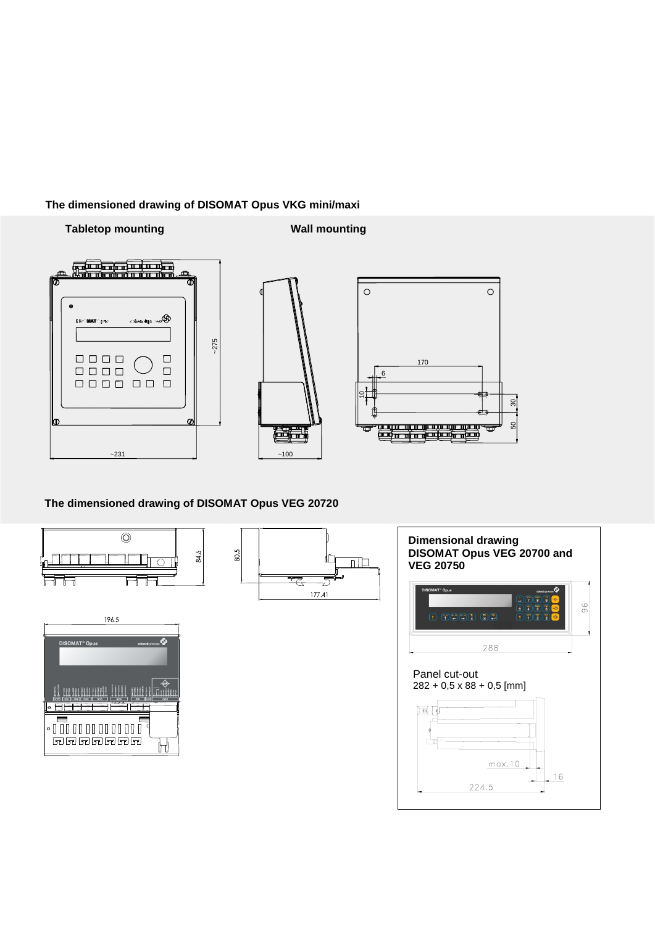## **The dimensioned drawing of DISOMAT Opus VKG mini/maxi**

## **Tabletop mounting Tabletop mounting**







# **The dimensioned drawing of DISOMAT Opus VEG 20720**